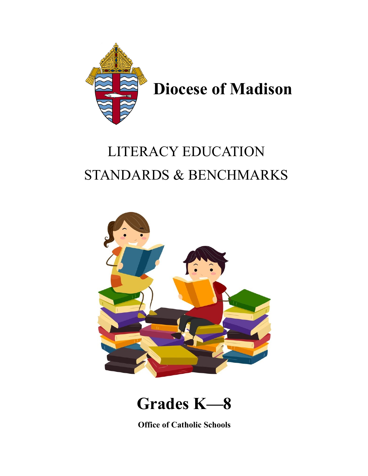

# LITERACY EDUCATION STANDARDS & BENCHMARKS



# **Grades K—8**

**Office of Catholic Schools**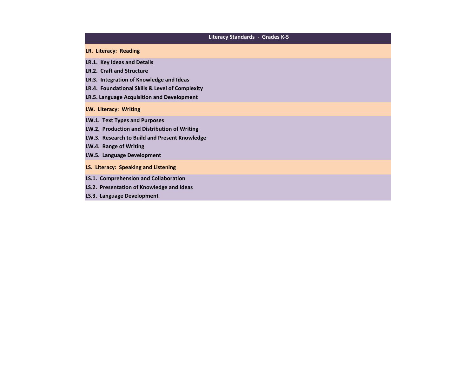# **LR. Literacy: Reading LW. Literacy: Writing LS. Literacy: Speaking and Listening Literacy Standards - Grades K-5 LS.1. Comprehension and Collaboration LS.2. Presentation of Knowledge and Ideas LS.3. Language Development LW.1. Text Types and Purposes LW.2. Production and Distribution of Writing LW.3. Research to Build and Present Knowledge LW.4. Range of Writing LW.5. Language Development LR.1. Key Ideas and Details LR.2. Craft and Structure LR.4. Foundational Skills & Level of Complexity LR.3. Integration of Knowledge and Ideas LR.5. Language Acquisition and Development**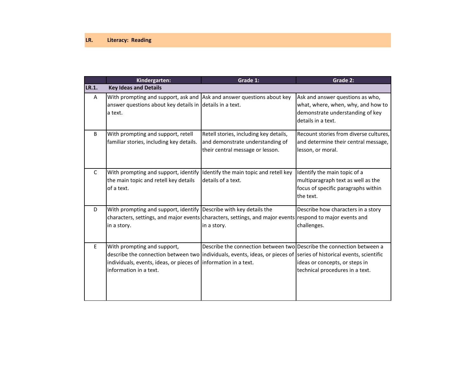|       | Kindergarten:                                                                                                                                 | Grade 1:                                                                                                                                                                                      | Grade 2:                                                                                                                         |
|-------|-----------------------------------------------------------------------------------------------------------------------------------------------|-----------------------------------------------------------------------------------------------------------------------------------------------------------------------------------------------|----------------------------------------------------------------------------------------------------------------------------------|
| LR.1. | <b>Key Ideas and Details</b>                                                                                                                  |                                                                                                                                                                                               |                                                                                                                                  |
| A     | With prompting and support, ask and Ask and answer questions about key<br>answer questions about key details in details in a text.<br>a text. |                                                                                                                                                                                               | Ask and answer questions as who,<br>what, where, when, why, and how to<br>demonstrate understanding of key<br>details in a text. |
| B     | With prompting and support, retell<br>familiar stories, including key details.                                                                | Retell stories, including key details,<br>and demonstrate understanding of<br>their central message or lesson.                                                                                | Recount stories from diverse cultures,<br>and determine their central message,<br>lesson, or moral.                              |
| C     | With prompting and support, identify<br>the main topic and retell key details<br>of a text.                                                   | Identify the main topic and retell key<br>details of a text.                                                                                                                                  | Identify the main topic of a<br>multiparagraph text as well as the<br>focus of specific paragraphs within<br>the text.           |
| D     | With prompting and support, identify Describe with key details the<br>in a story.                                                             | characters, settings, and major events characters, settings, and major events respond to major events and<br>in a story.                                                                      | Describe how characters in a story<br>challenges.                                                                                |
| E     | With prompting and support,<br>individuals, events, ideas, or pieces of information in a text.<br>information in a text.                      | Describe the connection between two Describe the connection between a<br>describe the connection between two individuals, events, ideas, or pieces of series of historical events, scientific | ideas or concepts, or steps in<br>technical procedures in a text.                                                                |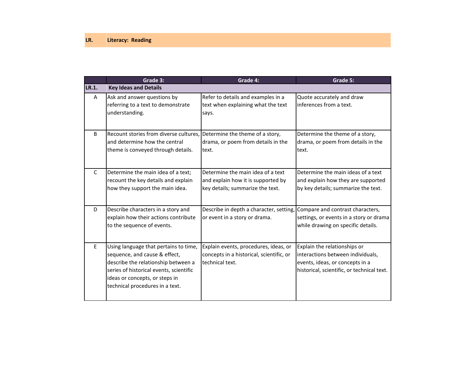|       | Grade 3:                                                                                                                                                                                                                      | Grade 4:                                                                                                    | Grade 5:                                                                                                                                           |
|-------|-------------------------------------------------------------------------------------------------------------------------------------------------------------------------------------------------------------------------------|-------------------------------------------------------------------------------------------------------------|----------------------------------------------------------------------------------------------------------------------------------------------------|
| LR.1. | <b>Key Ideas and Details</b>                                                                                                                                                                                                  |                                                                                                             |                                                                                                                                                    |
| A     | Ask and answer questions by<br>referring to a text to demonstrate<br>understanding.                                                                                                                                           | Refer to details and examples in a<br>text when explaining what the text<br>says.                           | Quote accurately and draw<br>inferences from a text.                                                                                               |
| B     | Recount stories from diverse cultures,<br>and determine how the central<br>theme is conveyed through details.                                                                                                                 | Determine the theme of a story,<br>drama, or poem from details in the<br>text.                              | Determine the theme of a story,<br>drama, or poem from details in the<br>text.                                                                     |
| C     | Determine the main idea of a text;<br>recount the key details and explain<br>how they support the main idea.                                                                                                                  | Determine the main idea of a text<br>and explain how it is supported by<br>key details; summarize the text. | Determine the main ideas of a text<br>and explain how they are supported<br>by key details; summarize the text.                                    |
| D     | Describe characters in a story and<br>explain how their actions contribute<br>to the sequence of events.                                                                                                                      | Describe in depth a character, setting,<br>or event in a story or drama.                                    | Compare and contrast characters,<br>settings, or events in a story or drama<br>while drawing on specific details.                                  |
| E     | Using language that pertains to time,<br>sequence, and cause & effect,<br>describe the relationship between a<br>series of historical events, scientific<br>ideas or concepts, or steps in<br>technical procedures in a text. | Explain events, procedures, ideas, or<br>concepts in a historical, scientific, or<br>technical text.        | Explain the relationships or<br>interactions between individuals,<br>events, ideas, or concepts in a<br>historical, scientific, or technical text. |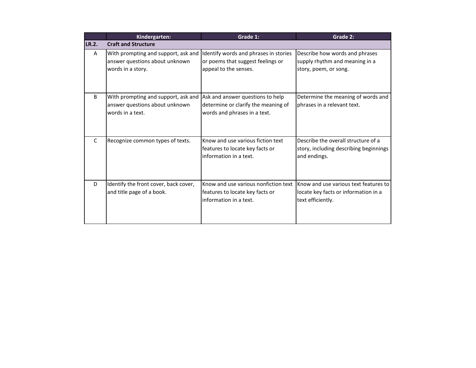|              | Kindergarten:                                                                              | Grade 1:                                                                                                | Grade 2:                                                                                           |
|--------------|--------------------------------------------------------------------------------------------|---------------------------------------------------------------------------------------------------------|----------------------------------------------------------------------------------------------------|
| <b>LR.2.</b> | <b>Craft and Structure</b>                                                                 |                                                                                                         |                                                                                                    |
| A            | With prompting and support, ask and<br>answer questions about unknown<br>words in a story. | Identify words and phrases in stories<br>or poems that suggest feelings or<br>appeal to the senses.     | Describe how words and phrases<br>supply rhythm and meaning in a<br>story, poem, or song.          |
| B            | With prompting and support, ask and<br>answer questions about unknown<br>words in a text.  | Ask and answer questions to help<br>determine or clarify the meaning of<br>words and phrases in a text. | Determine the meaning of words and<br>phrases in a relevant text.                                  |
| C            | Recognize common types of texts.                                                           | Know and use various fiction text<br>features to locate key facts or<br>information in a text.          | Describe the overall structure of a<br>story, including describing beginnings<br>and endings.      |
| D            | Identify the front cover, back cover,<br>and title page of a book.                         | Know and use various nonfiction text<br>features to locate key facts or<br>information in a text.       | Know and use various text features to<br>locate key facts or information in a<br>text efficiently. |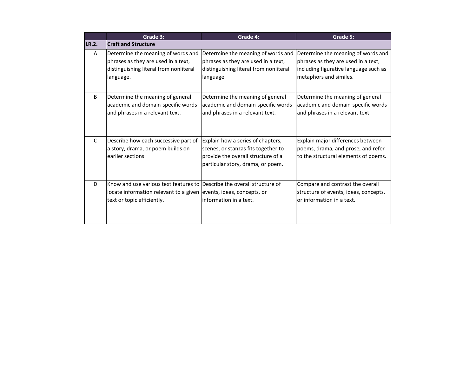|              | Grade 3:                                                                                                                                        | Grade 4:                                                                                                                                            | Grade 5:                                                                                                                                     |
|--------------|-------------------------------------------------------------------------------------------------------------------------------------------------|-----------------------------------------------------------------------------------------------------------------------------------------------------|----------------------------------------------------------------------------------------------------------------------------------------------|
| <b>LR.2.</b> | <b>Craft and Structure</b>                                                                                                                      |                                                                                                                                                     |                                                                                                                                              |
| A            | Determine the meaning of words and<br>phrases as they are used in a text,<br>distinguishing literal from nonliteral<br>language.                | Determine the meaning of words and<br>phrases as they are used in a text,<br>distinguishing literal from nonliteral<br>language.                    | Determine the meaning of words and<br>phrases as they are used in a text,<br>including figurative language such as<br>metaphors and similes. |
| B            | Determine the meaning of general<br>academic and domain-specific words<br>and phrases in a relevant text.                                       | Determine the meaning of general<br>academic and domain-specific words<br>and phrases in a relevant text.                                           | Determine the meaning of general<br>academic and domain-specific words<br>and phrases in a relevant text.                                    |
| $\mathsf{C}$ | Describe how each successive part of<br>a story, drama, or poem builds on<br>earlier sections.                                                  | Explain how a series of chapters,<br>scenes, or stanzas fits together to<br>provide the overall structure of a<br>particular story, drama, or poem. | Explain major differences between<br>poems, drama, and prose, and refer<br>to the structural elements of poems.                              |
| D            | Know and use various text features to Describe the overall structure of<br>locate information relevant to a given<br>text or topic efficiently. | events, ideas, concepts, or<br>information in a text.                                                                                               | Compare and contrast the overall<br>structure of events, ideas, concepts,<br>or information in a text.                                       |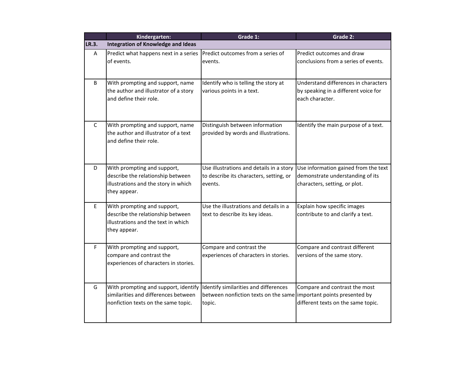|              | Kindergarten:                                                                                                            | Grade 1:                                                                                                              | Grade 2:                                                                                                  |
|--------------|--------------------------------------------------------------------------------------------------------------------------|-----------------------------------------------------------------------------------------------------------------------|-----------------------------------------------------------------------------------------------------------|
| LR.3.        | <b>Integration of Knowledge and Ideas</b>                                                                                |                                                                                                                       |                                                                                                           |
| A            | Predict what happens next in a series<br>of events.                                                                      | Predict outcomes from a series of<br>events.                                                                          | Predict outcomes and draw<br>conclusions from a series of events.                                         |
| B            | With prompting and support, name<br>the author and illustrator of a story<br>and define their role.                      | Identify who is telling the story at<br>various points in a text.                                                     | Understand differences in characters<br>by speaking in a different voice for<br>each character.           |
| $\mathsf{C}$ | With prompting and support, name<br>the author and illustrator of a text<br>and define their role.                       | Distinguish between information<br>provided by words and illustrations.                                               | Identify the main purpose of a text.                                                                      |
| D            | With prompting and support,<br>describe the relationship between<br>illustrations and the story in which<br>they appear. | Use illustrations and details in a story<br>to describe its characters, setting, or<br>events.                        | Use information gained from the text<br>demonstrate understanding of its<br>characters, setting, or plot. |
| E.           | With prompting and support,<br>describe the relationship between<br>illustrations and the text in which<br>they appear.  | Use the illustrations and details in a<br>text to describe its key ideas.                                             | Explain how specific images<br>contribute to and clarify a text.                                          |
| F            | With prompting and support,<br>compare and contrast the<br>experiences of characters in stories.                         | Compare and contrast the<br>experiences of characters in stories.                                                     | Compare and contrast different<br>versions of the same story.                                             |
| G            | With prompting and support, identify<br>similarities and differences between<br>nonfiction texts on the same topic.      | Identify similarities and differences<br>between nonfiction texts on the same important points presented by<br>topic. | Compare and contrast the most<br>different texts on the same topic.                                       |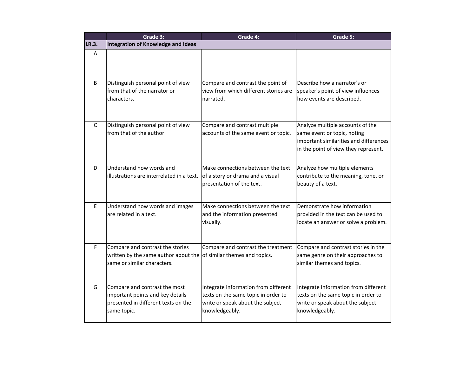|       | Grade 3:                                                                                                                | Grade 4:                                                                                                                          | Grade 5:                                                                                                                                          |
|-------|-------------------------------------------------------------------------------------------------------------------------|-----------------------------------------------------------------------------------------------------------------------------------|---------------------------------------------------------------------------------------------------------------------------------------------------|
| LR.3. | <b>Integration of Knowledge and Ideas</b>                                                                               |                                                                                                                                   |                                                                                                                                                   |
| A     |                                                                                                                         |                                                                                                                                   |                                                                                                                                                   |
| B     | Distinguish personal point of view<br>from that of the narrator or<br>characters.                                       | Compare and contrast the point of<br>view from which different stories are<br>narrated.                                           | Describe how a narrator's or<br>speaker's point of view influences<br>how events are described.                                                   |
| C     | Distinguish personal point of view<br>from that of the author.                                                          | Compare and contrast multiple<br>accounts of the same event or topic.                                                             | Analyze multiple accounts of the<br>same event or topic, noting<br>important similarities and differences<br>in the point of view they represent. |
| D     | Understand how words and<br>illustrations are interrelated in a text.                                                   | Make connections between the text<br>of a story or drama and a visual<br>presentation of the text.                                | Analyze how multiple elements<br>contribute to the meaning, tone, or<br>beauty of a text.                                                         |
| E     | Understand how words and images<br>are related in a text.                                                               | Make connections between the text<br>and the information presented<br>visually.                                                   | Demonstrate how information<br>provided in the text can be used to<br>locate an answer or solve a problem.                                        |
| F     | Compare and contrast the stories<br>written by the same author about the<br>same or similar characters.                 | Compare and contrast the treatment<br>of similar themes and topics.                                                               | Compare and contrast stories in the<br>same genre on their approaches to<br>similar themes and topics.                                            |
| G     | Compare and contrast the most<br>important points and key details<br>presented in different texts on the<br>same topic. | Integrate information from different<br>texts on the same topic in order to<br>write or speak about the subject<br>knowledgeably. | Integrate information from different<br>texts on the same topic in order to<br>write or speak about the subject<br>knowledgeably.                 |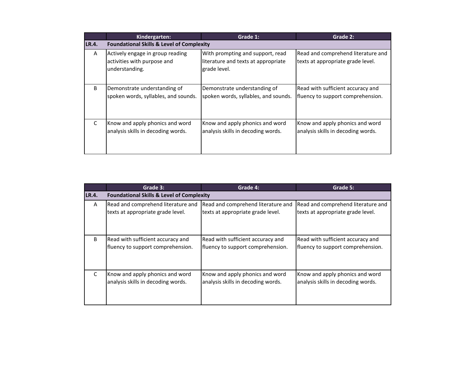|       | Kindergarten:                                                                     | Grade 1:                                                                                | Grade 2:                                                                |  |  |
|-------|-----------------------------------------------------------------------------------|-----------------------------------------------------------------------------------------|-------------------------------------------------------------------------|--|--|
| LR.4. | <b>Foundational Skills &amp; Level of Complexity</b>                              |                                                                                         |                                                                         |  |  |
| A     | Actively engage in group reading<br>activities with purpose and<br>understanding. | With prompting and support, read<br>literature and texts at appropriate<br>grade level. | Read and comprehend literature and<br>texts at appropriate grade level. |  |  |
| B     | Demonstrate understanding of<br>spoken words, syllables, and sounds.              | Demonstrate understanding of<br>spoken words, syllables, and sounds.                    | Read with sufficient accuracy and<br>fluency to support comprehension.  |  |  |
| C     | Know and apply phonics and word<br>analysis skills in decoding words.             | Know and apply phonics and word<br>analysis skills in decoding words.                   | Know and apply phonics and word<br>analysis skills in decoding words.   |  |  |

|              | Grade 3:                                             | Grade 4:                           | Grade 5:                           |  |  |
|--------------|------------------------------------------------------|------------------------------------|------------------------------------|--|--|
| LR.4.        | <b>Foundational Skills &amp; Level of Complexity</b> |                                    |                                    |  |  |
| A            | Read and comprehend literature and                   | Read and comprehend literature and | Read and comprehend literature and |  |  |
|              | texts at appropriate grade level.                    | texts at appropriate grade level.  | texts at appropriate grade level.  |  |  |
| <sub>B</sub> | Read with sufficient accuracy and                    | Read with sufficient accuracy and  | Read with sufficient accuracy and  |  |  |
|              | fluency to support comprehension.                    | fluency to support comprehension.  | fluency to support comprehension.  |  |  |
| C            | Know and apply phonics and word                      | Know and apply phonics and word    | Know and apply phonics and word    |  |  |
|              | analysis skills in decoding words.                   | analysis skills in decoding words. | analysis skills in decoding words. |  |  |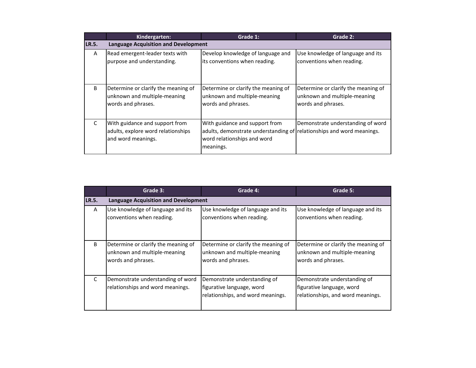|              | Kindergarten:                                                                              | Grade 1:                                                                                                                                            | Grade 2:                                                                                  |  |  |
|--------------|--------------------------------------------------------------------------------------------|-----------------------------------------------------------------------------------------------------------------------------------------------------|-------------------------------------------------------------------------------------------|--|--|
| LR.5.        | <b>Language Acquisition and Development</b>                                                |                                                                                                                                                     |                                                                                           |  |  |
| A            | Read emergent-leader texts with<br>purpose and understanding.                              | Develop knowledge of language and<br>its conventions when reading.                                                                                  | Use knowledge of language and its<br>conventions when reading.                            |  |  |
| B            | Determine or clarify the meaning of<br>unknown and multiple-meaning<br>words and phrases.  | Determine or clarify the meaning of<br>unknown and multiple-meaning<br>words and phrases.                                                           | Determine or clarify the meaning of<br>unknown and multiple-meaning<br>words and phrases. |  |  |
| $\mathsf{C}$ | With guidance and support from<br>adults, explore word relationships<br>and word meanings. | With guidance and support from<br>adults, demonstrate understanding of relationships and word meanings.<br>word relationships and word<br>meanings. | Demonstrate understanding of word                                                         |  |  |

|              | Grade 3:                                                                                  | Grade 4:                                                                                       | Grade 5:                                                                                       |
|--------------|-------------------------------------------------------------------------------------------|------------------------------------------------------------------------------------------------|------------------------------------------------------------------------------------------------|
| LR.5.        | <b>Language Acquisition and Development</b>                                               |                                                                                                |                                                                                                |
| A            | Use knowledge of language and its<br>conventions when reading.                            | Use knowledge of language and its<br>conventions when reading.                                 | Use knowledge of language and its<br>conventions when reading.                                 |
| <sub>B</sub> | Determine or clarify the meaning of<br>unknown and multiple-meaning<br>words and phrases. | Determine or clarify the meaning of<br>unknown and multiple-meaning<br>words and phrases.      | Determine or clarify the meaning of<br>unknown and multiple-meaning<br>words and phrases.      |
| C            | Demonstrate understanding of word<br>relationships and word meanings.                     | Demonstrate understanding of<br>figurative language, word<br>relationships, and word meanings. | Demonstrate understanding of<br>figurative language, word<br>relationships, and word meanings. |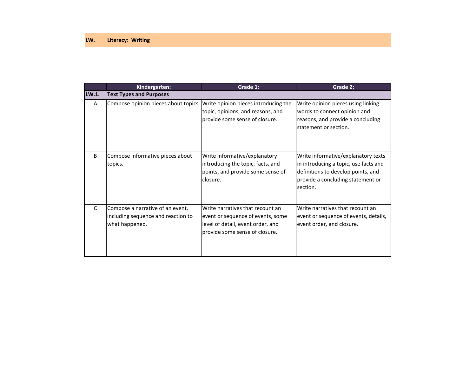|              | Kindergarten:                                                                            | Grade 1:                                                                                                                                     | Grade 2:                                                                                                                                                            |
|--------------|------------------------------------------------------------------------------------------|----------------------------------------------------------------------------------------------------------------------------------------------|---------------------------------------------------------------------------------------------------------------------------------------------------------------------|
| LW.1.        | <b>Text Types and Purposes</b>                                                           |                                                                                                                                              |                                                                                                                                                                     |
| A            | Compose opinion pieces about topics.                                                     | Write opinion pieces introducing the<br>topic, opinions, and reasons, and<br>provide some sense of closure.                                  | Write opinion pieces using linking<br>words to connect opinion and<br>reasons, and provide a concluding<br>statement or section.                                    |
| <sub>B</sub> | Compose informative pieces about<br>topics.                                              | Write informative/explanatory<br>introducing the topic, facts, and<br>points, and provide some sense of<br>closure.                          | Write informative/explanatory texts<br>in introducing a topic, use facts and<br>definitions to develop points, and<br>provide a concluding statement or<br>section. |
| C            | Compose a narrative of an event,<br>including sequence and reaction to<br>what happened. | Write narratives that recount an<br>event or sequence of events, some<br>level of detail, event order, and<br>provide some sense of closure. | Write narratives that recount an<br>event or sequence of events, details,<br>event order, and closure.                                                              |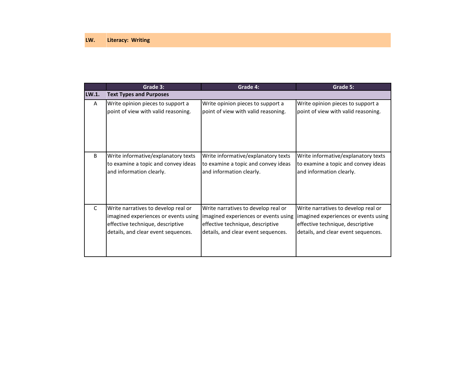|              | Grade 3:                             | Grade 4:                             | Grade 5:                             |
|--------------|--------------------------------------|--------------------------------------|--------------------------------------|
| LW.1.        | <b>Text Types and Purposes</b>       |                                      |                                      |
| A            | Write opinion pieces to support a    | Write opinion pieces to support a    | Write opinion pieces to support a    |
|              | point of view with valid reasoning.  | point of view with valid reasoning.  | point of view with valid reasoning.  |
| B            | Write informative/explanatory texts  | Write informative/explanatory texts  | Write informative/explanatory texts  |
|              | to examine a topic and convey ideas  | to examine a topic and convey ideas  | to examine a topic and convey ideas  |
|              | and information clearly.             | and information clearly.             | and information clearly.             |
| $\mathsf{C}$ | Write narratives to develop real or  | Write narratives to develop real or  | Write narratives to develop real or  |
|              | imagined experiences or events using | imagined experiences or events using | imagined experiences or events using |
|              | effective technique, descriptive     | effective technique, descriptive     | effective technique, descriptive     |
|              | details, and clear event sequences.  | details, and clear event sequences.  | details, and clear event sequences.  |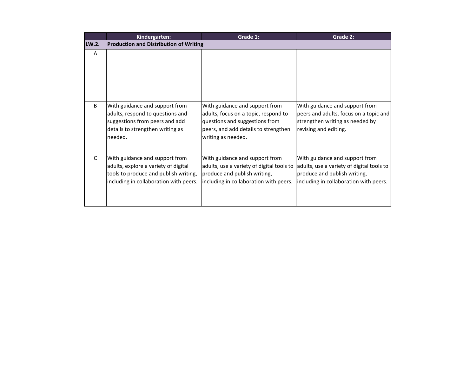|              | Kindergarten:                                                                                                                                             | Grade 1:                                                                                                                                                               | Grade 2:                                                                                                                                              |  |
|--------------|-----------------------------------------------------------------------------------------------------------------------------------------------------------|------------------------------------------------------------------------------------------------------------------------------------------------------------------------|-------------------------------------------------------------------------------------------------------------------------------------------------------|--|
| LW.2.        | <b>Production and Distribution of Writing</b>                                                                                                             |                                                                                                                                                                        |                                                                                                                                                       |  |
| A            |                                                                                                                                                           |                                                                                                                                                                        |                                                                                                                                                       |  |
| B            | With guidance and support from<br>adults, respond to questions and<br>suggestions from peers and add<br>details to strengthen writing as<br>needed.       | With guidance and support from<br>adults, focus on a topic, respond to<br>questions and suggestions from<br>peers, and add details to strengthen<br>writing as needed. | With guidance and support from<br>peers and adults, focus on a topic and<br>strengthen writing as needed by<br>revising and editing.                  |  |
| $\mathsf{C}$ | With guidance and support from<br>adults, explore a variety of digital<br>tools to produce and publish writing,<br>including in collaboration with peers. | With guidance and support from<br>adults, use a variety of digital tools to<br>produce and publish writing,<br>including in collaboration with peers.                  | With guidance and support from<br>adults, use a variety of digital tools to<br>produce and publish writing,<br>including in collaboration with peers. |  |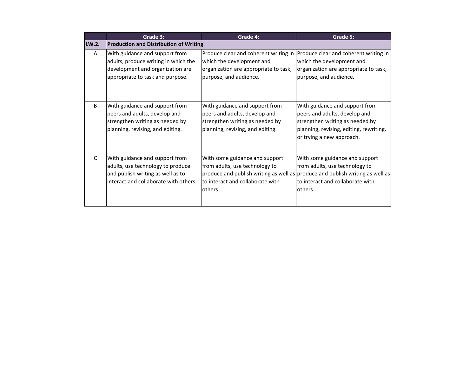|       | Grade 3:                                                                                                                                          | Grade 4:                                                                                                                               | Grade 5:                                                                                                                                                                                         |  |  |
|-------|---------------------------------------------------------------------------------------------------------------------------------------------------|----------------------------------------------------------------------------------------------------------------------------------------|--------------------------------------------------------------------------------------------------------------------------------------------------------------------------------------------------|--|--|
| LW.2. | <b>Production and Distribution of Writing</b>                                                                                                     |                                                                                                                                        |                                                                                                                                                                                                  |  |  |
| A     | With guidance and support from<br>adults, produce writing in which the<br>development and organization are<br>appropriate to task and purpose.    | which the development and<br>organization are appropriate to task,<br>purpose, and audience.                                           | Produce clear and coherent writing in Produce clear and coherent writing in<br>which the development and<br>organization are appropriate to task,<br>purpose, and audience.                      |  |  |
| B     | With guidance and support from<br>peers and adults, develop and<br>strengthen writing as needed by<br>planning, revising, and editing.            | With guidance and support from<br>peers and adults, develop and<br>strengthen writing as needed by<br>planning, revising, and editing. | With guidance and support from<br>peers and adults, develop and<br>strengthen writing as needed by<br>planning, revising, editing, rewriting,<br>or trying a new approach.                       |  |  |
| C     | With guidance and support from<br>adults, use technology to produce<br>and publish writing as well as to<br>interact and collaborate with others. | With some guidance and support<br>from adults, use technology to<br>to interact and collaborate with<br>others.                        | With some guidance and support<br>from adults, use technology to<br>produce and publish writing as well as produce and publish writing as well as<br>to interact and collaborate with<br>others. |  |  |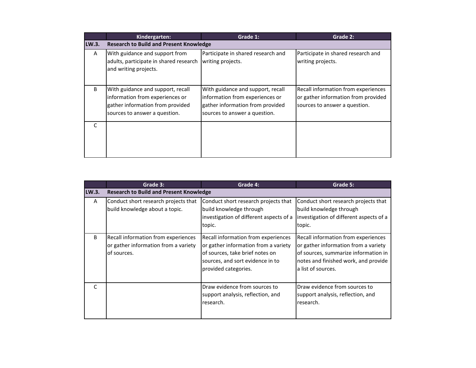|              | Kindergarten:                                                                                                                             | Grade 1:                                                                                                                                  | Grade 2:                                                                                                    |  |
|--------------|-------------------------------------------------------------------------------------------------------------------------------------------|-------------------------------------------------------------------------------------------------------------------------------------------|-------------------------------------------------------------------------------------------------------------|--|
| LW.3.        | <b>Research to Build and Present Knowledge</b>                                                                                            |                                                                                                                                           |                                                                                                             |  |
| A            | With guidance and support from<br>adults, participate in shared research<br>and writing projects.                                         | Participate in shared research and<br>writing projects.                                                                                   | Participate in shared research and<br>writing projects.                                                     |  |
| <sub>B</sub> | With guidance and support, recall<br>information from experiences or<br>gather information from provided<br>sources to answer a question. | With guidance and support, recall<br>information from experiences or<br>gather information from provided<br>sources to answer a question. | Recall information from experiences<br>or gather information from provided<br>sources to answer a question. |  |
| C            |                                                                                                                                           |                                                                                                                                           |                                                                                                             |  |

|       | Grade 3:                                                                                   | Grade 4:                                                                                                                                                                   | Grade 5:                                                                                                                                                                          |  |  |
|-------|--------------------------------------------------------------------------------------------|----------------------------------------------------------------------------------------------------------------------------------------------------------------------------|-----------------------------------------------------------------------------------------------------------------------------------------------------------------------------------|--|--|
| LW.3. | <b>Research to Build and Present Knowledge</b>                                             |                                                                                                                                                                            |                                                                                                                                                                                   |  |  |
| A     | Conduct short research projects that<br>build knowledge about a topic.                     | Conduct short research projects that<br>build knowledge through<br>investigation of different aspects of a<br>topic.                                                       | Conduct short research projects that<br>build knowledge through<br>investigation of different aspects of a<br>topic.                                                              |  |  |
| B     | Recall information from experiences<br>or gather information from a variety<br>of sources. | Recall information from experiences<br>or gather information from a variety<br>of sources, take brief notes on<br>sources, and sort evidence in to<br>provided categories. | Recall information from experiences<br>or gather information from a variety<br>of sources, summarize information in<br>notes and finished work, and provide<br>a list of sources. |  |  |
| C     |                                                                                            | Draw evidence from sources to<br>support analysis, reflection, and<br>research.                                                                                            | Draw evidence from sources to<br>support analysis, reflection, and<br>research.                                                                                                   |  |  |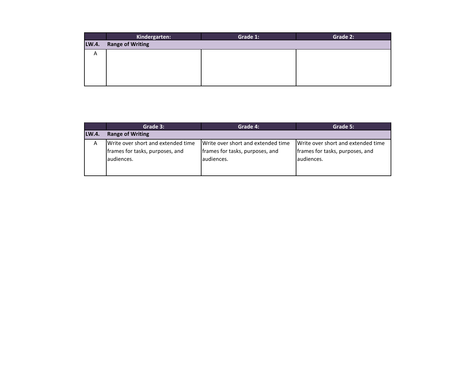|       | Kindergarten:           | Grade 1: | Grade 2: |
|-------|-------------------------|----------|----------|
| LW.4. | <b>Range of Writing</b> |          |          |
| Α     |                         |          |          |
|       |                         |          |          |
|       |                         |          |          |
|       |                         |          |          |

|       | Grade 3:                                                                             | Grade 4:                                                                            | Grade 5:                                                                            |
|-------|--------------------------------------------------------------------------------------|-------------------------------------------------------------------------------------|-------------------------------------------------------------------------------------|
| LW.4. | <b>Range of Writing</b>                                                              |                                                                                     |                                                                                     |
| Α     | Write over short and extended time<br>frames for tasks, purposes, and<br>laudiences. | Write over short and extended time<br>frames for tasks, purposes, and<br>audiences. | Write over short and extended time<br>frames for tasks, purposes, and<br>audiences. |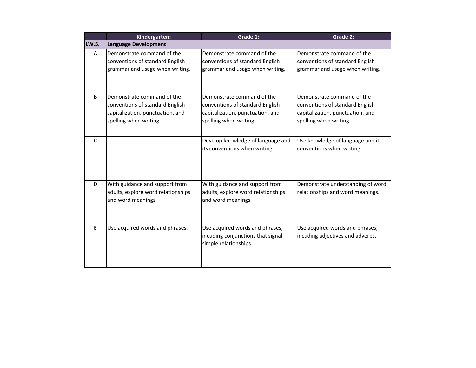|       | Kindergarten:                      | Grade 1:                           | Grade 2:                          |
|-------|------------------------------------|------------------------------------|-----------------------------------|
| LW.5. | <b>Language Development</b>        |                                    |                                   |
| A     | Demonstrate command of the         | Demonstrate command of the         | Demonstrate command of the        |
|       | conventions of standard English    | conventions of standard English    | conventions of standard English   |
|       | grammar and usage when writing.    | grammar and usage when writing.    | grammar and usage when writing.   |
|       |                                    |                                    |                                   |
| B     | Demonstrate command of the         | Demonstrate command of the         | Demonstrate command of the        |
|       | conventions of standard English    | conventions of standard English    | conventions of standard English   |
|       | capitalization, punctuation, and   | capitalization, punctuation, and   | capitalization, punctuation, and  |
|       | spelling when writing.             | spelling when writing.             | spelling when writing.            |
| C     |                                    | Develop knowledge of language and  | Use knowledge of language and its |
|       |                                    | its conventions when writing.      | conventions when writing.         |
|       |                                    |                                    |                                   |
| D     | With guidance and support from     | With guidance and support from     | Demonstrate understanding of word |
|       | adults, explore word relationships | adults, explore word relationships | relationships and word meanings.  |
|       | and word meanings.                 | and word meanings.                 |                                   |
|       |                                    |                                    |                                   |
| E     | Use acquired words and phrases.    | Use acquired words and phrases,    | Use acquired words and phrases,   |
|       |                                    | incuding conjunctions that signal  | incuding adjectives and adverbs.  |
|       |                                    | simple relationships.              |                                   |
|       |                                    |                                    |                                   |
|       |                                    |                                    |                                   |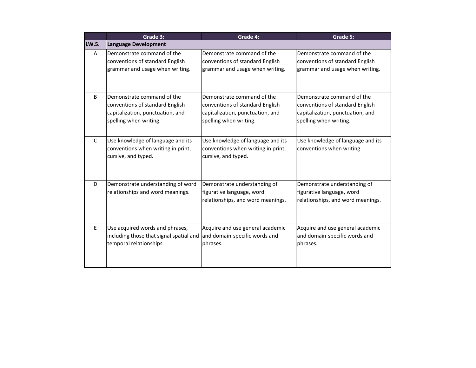|              | Grade 3:                                                                                                                    | Grade 4:                                                                                                                    | Grade 5:                                                                                                                    |
|--------------|-----------------------------------------------------------------------------------------------------------------------------|-----------------------------------------------------------------------------------------------------------------------------|-----------------------------------------------------------------------------------------------------------------------------|
| LW.5.        | <b>Language Development</b>                                                                                                 |                                                                                                                             |                                                                                                                             |
| Α            | Demonstrate command of the<br>conventions of standard English<br>grammar and usage when writing.                            | Demonstrate command of the<br>conventions of standard English<br>grammar and usage when writing.                            | Demonstrate command of the<br>conventions of standard English<br>grammar and usage when writing.                            |
| B            | Demonstrate command of the<br>conventions of standard English<br>capitalization, punctuation, and<br>spelling when writing. | Demonstrate command of the<br>conventions of standard English<br>capitalization, punctuation, and<br>spelling when writing. | Demonstrate command of the<br>conventions of standard English<br>capitalization, punctuation, and<br>spelling when writing. |
| $\mathsf{C}$ | Use knowledge of language and its<br>conventions when writing in print,<br>cursive, and typed.                              | Use knowledge of language and its<br>conventions when writing in print,<br>cursive, and typed.                              | Use knowledge of language and its<br>conventions when writing.                                                              |
| D            | Demonstrate understanding of word<br>relationships and word meanings.                                                       | Demonstrate understanding of<br>figurative language, word<br>relationships, and word meanings.                              | Demonstrate understanding of<br>figurative language, word<br>relationships, and word meanings.                              |
| E            | Use acquired words and phrases,<br>including those that signal spatial and<br>temporal relationships.                       | Acquire and use general academic<br>and domain-specific words and<br>phrases.                                               | Acquire and use general academic<br>and domain-specific words and<br>phrases.                                               |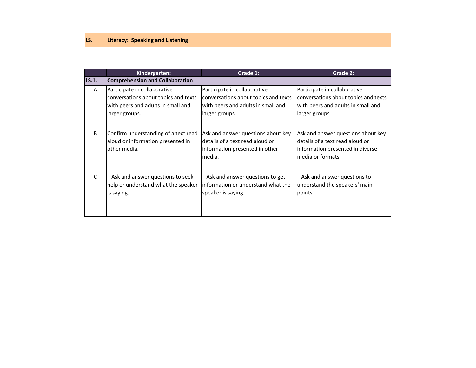## **LS. Literacy: Speaking and Listening**

|              | Kindergarten:                                                                                                                | Grade 1:                                                                                                                     | Grade 2:                                                                                                                       |  |  |
|--------------|------------------------------------------------------------------------------------------------------------------------------|------------------------------------------------------------------------------------------------------------------------------|--------------------------------------------------------------------------------------------------------------------------------|--|--|
| LS.1.        | <b>Comprehension and Collaboration</b>                                                                                       |                                                                                                                              |                                                                                                                                |  |  |
| A            | Participate in collaborative<br>conversations about topics and texts<br>with peers and adults in small and<br>larger groups. | Participate in collaborative<br>conversations about topics and texts<br>with peers and adults in small and<br>larger groups. | Participate in collaborative<br>conversations about topics and texts<br>with peers and adults in small and<br>larger groups.   |  |  |
| <sub>B</sub> | Confirm understanding of a text read<br>aloud or information presented in<br>other media.                                    | Ask and answer questions about key<br>details of a text read aloud or<br>information presented in other<br>media.            | Ask and answer questions about key<br>details of a text read aloud or<br>information presented in diverse<br>media or formats. |  |  |
| $\mathsf{C}$ | Ask and answer questions to seek<br>help or understand what the speaker<br>is saying.                                        | Ask and answer questions to get<br>information or understand what the<br>speaker is saying.                                  | Ask and answer questions to<br>understand the speakers' main<br>points.                                                        |  |  |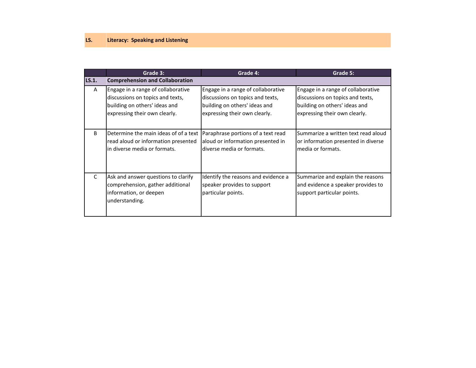#### **LS. Literacy: Speaking and Listening**

|              | Grade 3:                                                                                                                                 | Grade 4:                                                                                                                                 | Grade 5:                                                                                                                                 |
|--------------|------------------------------------------------------------------------------------------------------------------------------------------|------------------------------------------------------------------------------------------------------------------------------------------|------------------------------------------------------------------------------------------------------------------------------------------|
| LS.1.        | <b>Comprehension and Collaboration</b>                                                                                                   |                                                                                                                                          |                                                                                                                                          |
| A            | Engage in a range of collaborative<br>discussions on topics and texts,<br>building on others' ideas and<br>expressing their own clearly. | Engage in a range of collaborative<br>discussions on topics and texts,<br>building on others' ideas and<br>expressing their own clearly. | Engage in a range of collaborative<br>discussions on topics and texts,<br>building on others' ideas and<br>expressing their own clearly. |
| <sub>B</sub> | Determine the main ideas of of a text<br>read aloud or information presented<br>in diverse media or formats.                             | Paraphrase portions of a text read<br>aloud or information presented in<br>diverse media or formats.                                     | Summarize a written text read aloud<br>or information presented in diverse<br>media or formats.                                          |
| $\mathsf{C}$ | Ask and answer questions to clarify<br>comprehension, gather additional<br>information, or deepen<br>understanding.                      | Identify the reasons and evidence a<br>speaker provides to support<br>particular points.                                                 | Summarize and explain the reasons<br>and evidence a speaker provides to<br>support particular points.                                    |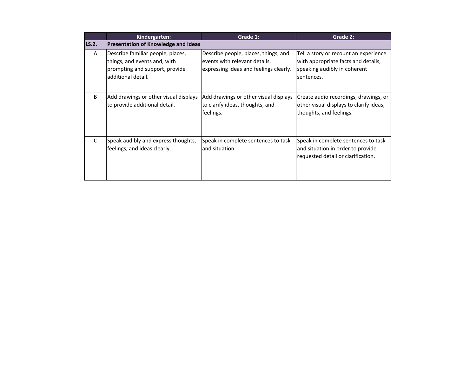|              | Kindergarten:                                                                                                              | Grade 1:                                                                                                        | Grade 2:                                                                                                                   |  |
|--------------|----------------------------------------------------------------------------------------------------------------------------|-----------------------------------------------------------------------------------------------------------------|----------------------------------------------------------------------------------------------------------------------------|--|
| LS.2.        | Presentation of Knowledge and Ideas                                                                                        |                                                                                                                 |                                                                                                                            |  |
| $\mathsf{A}$ | Describe familiar people, places,<br>things, and events and, with<br>prompting and support, provide<br>ladditional detail. | Describe people, places, things, and<br>events with relevant details,<br>expressing ideas and feelings clearly. | Tell a story or recount an experience<br>with appropriate facts and details,<br>speaking audibly in coherent<br>sentences. |  |
| B            | Add drawings or other visual displays<br>to provide additional detail.                                                     | Add drawings or other visual displays<br>to clarify ideas, thoughts, and<br>feelings.                           | Create audio recordings, drawings, or<br>other visual displays to clarify ideas,<br>thoughts, and feelings.                |  |
| $\mathsf{C}$ | Speak audibly and express thoughts,<br>feelings, and ideas clearly.                                                        | Speak in complete sentences to task<br>and situation.                                                           | Speak in complete sentences to task<br>and situation in order to provide<br>requested detail or clarification.             |  |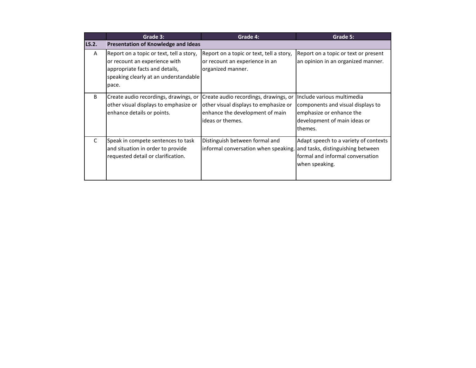|              | Grade 3:                                                                                                                                                      | Grade 4:                                                                                                                              | Grade 5:                                                                                                                               |  |  |
|--------------|---------------------------------------------------------------------------------------------------------------------------------------------------------------|---------------------------------------------------------------------------------------------------------------------------------------|----------------------------------------------------------------------------------------------------------------------------------------|--|--|
| LS.2.        | Presentation of Knowledge and Ideas                                                                                                                           |                                                                                                                                       |                                                                                                                                        |  |  |
| A            | Report on a topic or text, tell a story,<br>or recount an experience with<br>appropriate facts and details,<br>speaking clearly at an understandable<br>pace. | Report on a topic or text, tell a story,<br>or recount an experience in an<br>organized manner.                                       | Report on a topic or text or present<br>an opinion in an organized manner.                                                             |  |  |
| <sub>B</sub> | Create audio recordings, drawings, or<br>other visual displays to emphasize or<br>enhance details or points.                                                  | Create audio recordings, drawings, or<br>other visual displays to emphasize or<br>enhance the development of main<br>ideas or themes. | Include various multimedia<br>components and visual displays to<br>emphasize or enhance the<br>development of main ideas or<br>themes. |  |  |
| $\mathsf{C}$ | Speak in compete sentences to task<br>and situation in order to provide<br>requested detail or clarification.                                                 | Distinguish between formal and<br>informal conversation when speaking.                                                                | Adapt speech to a variety of contexts<br>and tasks, distinguishing between<br>formal and informal conversation<br>when speaking.       |  |  |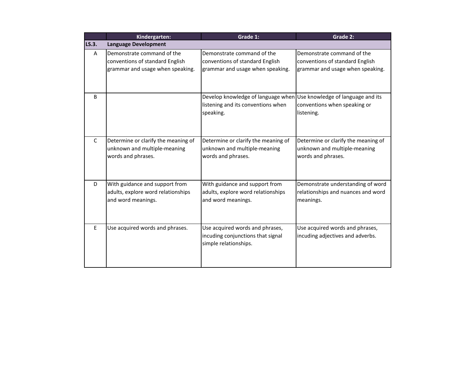|              | Kindergarten:                                                                                     | Grade 1:                                                                                                                | Grade 2:                                                                                          |
|--------------|---------------------------------------------------------------------------------------------------|-------------------------------------------------------------------------------------------------------------------------|---------------------------------------------------------------------------------------------------|
| LS.3.        | <b>Language Development</b>                                                                       |                                                                                                                         |                                                                                                   |
| A            | Demonstrate command of the<br>conventions of standard English<br>grammar and usage when speaking. | Demonstrate command of the<br>conventions of standard English<br>grammar and usage when speaking.                       | Demonstrate command of the<br>conventions of standard English<br>grammar and usage when speaking. |
| B            |                                                                                                   | Develop knowledge of language when Use knowledge of language and its<br>listening and its conventions when<br>speaking. | conventions when speaking or<br>listening.                                                        |
| $\mathsf{C}$ | Determine or clarify the meaning of<br>unknown and multiple-meaning<br>words and phrases.         | Determine or clarify the meaning of<br>unknown and multiple-meaning<br>words and phrases.                               | Determine or clarify the meaning of<br>unknown and multiple-meaning<br>words and phrases.         |
| D            | With guidance and support from<br>adults, explore word relationships<br>and word meanings.        | With guidance and support from<br>adults, explore word relationships<br>and word meanings.                              | Demonstrate understanding of word<br>relationships and nuances and word<br>meanings.              |
| E            | Use acquired words and phrases.                                                                   | Use acquired words and phrases,<br>incuding conjunctions that signal<br>simple relationships.                           | Use acquired words and phrases,<br>incuding adjectives and adverbs.                               |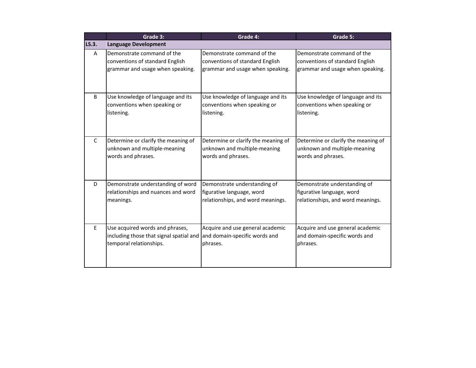|              | Grade 3:                                | Grade 4:                            | Grade 5:                            |
|--------------|-----------------------------------------|-------------------------------------|-------------------------------------|
| LS.3.        | <b>Language Development</b>             |                                     |                                     |
| Α            | Demonstrate command of the              | Demonstrate command of the          | Demonstrate command of the          |
|              | conventions of standard English         | conventions of standard English     | conventions of standard English     |
|              | grammar and usage when speaking.        | grammar and usage when speaking.    | grammar and usage when speaking.    |
| B            | Use knowledge of language and its       | Use knowledge of language and its   | Use knowledge of language and its   |
|              | conventions when speaking or            | conventions when speaking or        | conventions when speaking or        |
|              | listening.                              | listening.                          | listening.                          |
| $\mathsf{C}$ | Determine or clarify the meaning of     | Determine or clarify the meaning of | Determine or clarify the meaning of |
|              | unknown and multiple-meaning            | unknown and multiple-meaning        | unknown and multiple-meaning        |
|              | words and phrases.                      | words and phrases.                  | words and phrases.                  |
| D            | Demonstrate understanding of word       | Demonstrate understanding of        | Demonstrate understanding of        |
|              | relationships and nuances and word      | figurative language, word           | figurative language, word           |
|              | meanings.                               | relationships, and word meanings.   | relationships, and word meanings.   |
| E            | Use acquired words and phrases,         | Acquire and use general academic    | Acquire and use general academic    |
|              | including those that signal spatial and | and domain-specific words and       | and domain-specific words and       |
|              | temporal relationships.                 | phrases.                            | phrases.                            |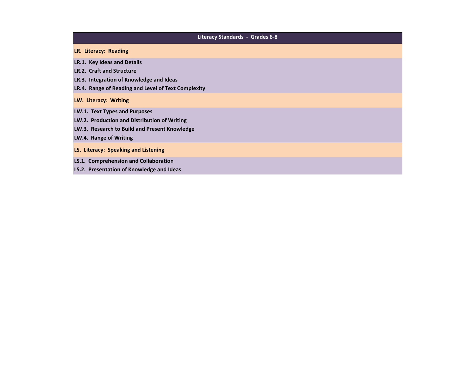| Literacy Standards - Grades 6-8                     |  |  |  |
|-----------------------------------------------------|--|--|--|
| LR. Literacy: Reading                               |  |  |  |
| LR.1. Key Ideas and Details                         |  |  |  |
| <b>LR.2. Craft and Structure</b>                    |  |  |  |
| LR.3. Integration of Knowledge and Ideas            |  |  |  |
| LR.4. Range of Reading and Level of Text Complexity |  |  |  |
| LW. Literacy: Writing                               |  |  |  |
| LW.1. Text Types and Purposes                       |  |  |  |
| LW.2. Production and Distribution of Writing        |  |  |  |
| LW.3. Research to Build and Present Knowledge       |  |  |  |
| LW.4. Range of Writing                              |  |  |  |
| LS. Literacy: Speaking and Listening                |  |  |  |
| LS.1. Comprehension and Collaboration               |  |  |  |
| LS.2. Presentation of Knowledge and Ideas           |  |  |  |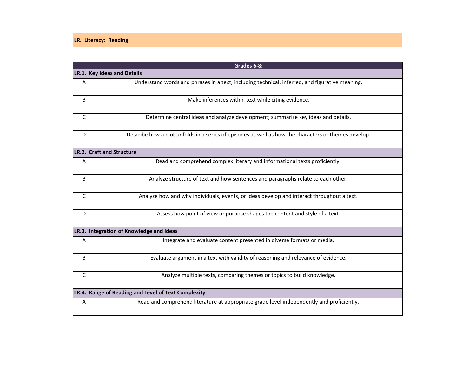### **LR. Literacy: Reading**

| Grades 6-8:                 |                                                                                                      |  |
|-----------------------------|------------------------------------------------------------------------------------------------------|--|
| LR.1. Key Ideas and Details |                                                                                                      |  |
| A                           | Understand words and phrases in a text, including technical, inferred, and figurative meaning.       |  |
| B                           | Make inferences within text while citing evidence.                                                   |  |
| C                           | Determine central ideas and analyze development; summarize key ideas and details.                    |  |
| D                           | Describe how a plot unfolds in a series of episodes as well as how the characters or themes develop. |  |
|                             | LR.2. Craft and Structure                                                                            |  |
| A                           | Read and comprehend complex literary and informational texts proficiently.                           |  |
| B                           | Analyze structure of text and how sentences and paragraphs relate to each other.                     |  |
| C                           | Analyze how and why individuals, events, or ideas develop and interact throughout a text.            |  |
| D                           | Assess how point of view or purpose shapes the content and style of a text.                          |  |
|                             | LR.3. Integration of Knowledge and Ideas                                                             |  |
| A                           | Integrate and evaluate content presented in diverse formats or media.                                |  |
| B                           | Evaluate argument in a text with validity of reasoning and relevance of evidence.                    |  |
| $\mathsf{C}$                | Analyze multiple texts, comparing themes or topics to build knowledge.                               |  |
|                             | LR.4. Range of Reading and Level of Text Complexity                                                  |  |
| Α                           | Read and comprehend literature at appropriate grade level independently and proficiently.            |  |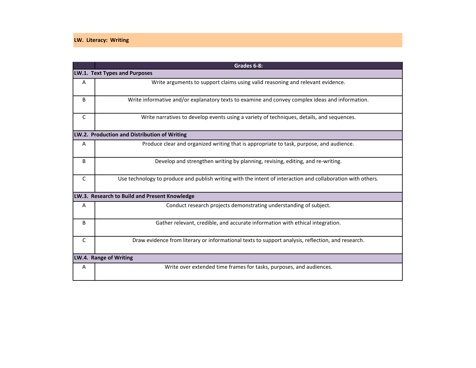## **LW. Literacy: Writing**

|                        | Grades 6-8:                                                                                                 |  |
|------------------------|-------------------------------------------------------------------------------------------------------------|--|
|                        | LW.1. Text Types and Purposes                                                                               |  |
| A                      | Write arguments to support claims using valid reasoning and relevant evidence.                              |  |
| B                      | Write informative and/or explanatory texts to examine and convey complex ideas and information.             |  |
| C                      | Write narratives to develop events using a variety of techniques, details, and sequences.                   |  |
|                        | LW.2. Production and Distribution of Writing                                                                |  |
| Α                      | Produce clear and organized writing that is appropriate to task, purpose, and audience.                     |  |
| B                      | Develop and strengthen writing by planning, revising, editing, and re-writing.                              |  |
| C                      | Use technology to produce and publish writing with the intent of interaction and collaboration with others. |  |
|                        | LW.3. Research to Build and Present Knowledge                                                               |  |
| A                      | Conduct research projects demonstrating understanding of subject.                                           |  |
| B                      | Gather relevant, credible, and accurate information with ethical integration.                               |  |
| $\mathsf{C}$           | Draw evidence from literary or informational texts to support analysis, reflection, and research.           |  |
| LW.4. Range of Writing |                                                                                                             |  |
| A                      | Write over extended time frames for tasks, purposes, and audiences.                                         |  |